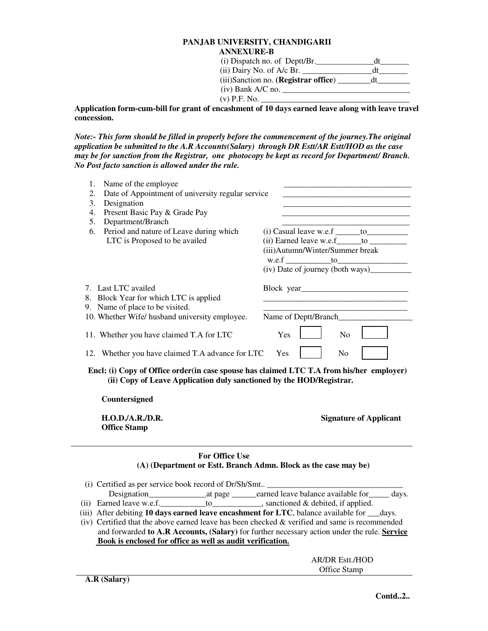## **PANJAB UNIVERSITY, CHANDIGARII ANNEXURE-B**

| (i) Dispatch no. of Deptt/Br.        |    |
|--------------------------------------|----|
| $(ii)$ Dairy No. of A/c Br.          |    |
| (iii)Sanction no. (Registrar office) | đt |
| $(iv)$ Bank A/C no.                  |    |
| $(v)$ P.F. No.                       |    |

**Application form-cum-bill for grant of encashment of 10 days earned leave along with leave travel concession.** 

*Note:- This form should be filled in properly before the commencement of the journey.The original application be submitted to the A.R Accounts(Salary) through DR Estt/AR Estt/HOD as the case may be for sanction from the Registrar, one photocopy be kept as record for Department/ Branch. No Post facto sanction is allowed under the rule.* 

| Name of the employee<br>1.                                                                                                                                        |                                                                                                                        |  |
|-------------------------------------------------------------------------------------------------------------------------------------------------------------------|------------------------------------------------------------------------------------------------------------------------|--|
| Date of Appointment of university regular service<br>2.                                                                                                           |                                                                                                                        |  |
| Designation<br>3.                                                                                                                                                 | <u> 1989 - Johann Barbara, martin amerikan basar dan berasal dari berasal dalam basar dalam basar dalam basar dala</u> |  |
| Present Basic Pay & Grade Pay<br>4.                                                                                                                               | <u> 1980 - Johann Barn, mars ar breithinn ar breithinn an t-Amhain ann an t-Amhain an t-Amhain an t-Amhain an t-A</u>  |  |
| 5.<br>Department/Branch                                                                                                                                           |                                                                                                                        |  |
| Period and nature of Leave during which<br>6.                                                                                                                     | $(i)$ Casual leave w.e.f $\_\_\_\_$ to                                                                                 |  |
| LTC is Proposed to be availed                                                                                                                                     |                                                                                                                        |  |
|                                                                                                                                                                   | (iii) Autumn/Winter/Summer break                                                                                       |  |
|                                                                                                                                                                   |                                                                                                                        |  |
|                                                                                                                                                                   |                                                                                                                        |  |
| 7. Last LTC availed                                                                                                                                               |                                                                                                                        |  |
| 8. Block Year for which LTC is applied                                                                                                                            |                                                                                                                        |  |
| 9. Name of place to be visited.                                                                                                                                   | <u> 1989 - Johann Barbara, martin amerikan basar dan bagi dan bagi dalam bagi dalam bagi dalam bagi dalam bagi da</u>  |  |
| 10. Whether Wife/ husband university employee.                                                                                                                    | Name of Deptt/Branch                                                                                                   |  |
| 11. Whether you have claimed T.A for LTC                                                                                                                          | Yes<br>N <sub>o</sub>                                                                                                  |  |
| 12. Whether you have claimed T.A advance for LTC<br>Yes<br>N <sub>0</sub>                                                                                         |                                                                                                                        |  |
| Encl: (i) Copy of Office order (in case spouse has claimed LTC T.A from his/her employer)<br>(ii) Copy of Leave Application duly sanctioned by the HOD/Registrar. |                                                                                                                        |  |
| Countersigned                                                                                                                                                     |                                                                                                                        |  |
| H.O.D./A.R./D.R.<br><b>Office Stamp</b>                                                                                                                           | <b>Signature of Applicant</b>                                                                                          |  |
| <b>For Office Use</b><br>(A) (Department or Estt. Branch Admn. Block as the case may be)                                                                          |                                                                                                                        |  |
|                                                                                                                                                                   |                                                                                                                        |  |
|                                                                                                                                                                   |                                                                                                                        |  |
|                                                                                                                                                                   |                                                                                                                        |  |
|                                                                                                                                                                   |                                                                                                                        |  |
| (iii) After debiting 10 days earned leave encashment for LTC, balance available for                                                                               | days.                                                                                                                  |  |

 (iv) Certified that the above earned leave has been checked & verified and same is recommended and forwarded **to A.R Accounts, (Salary)** for further necessary action under the rule. **Service Book is enclosed for office as well as audit verification.**

> AR/DR Estt./HOD Office Stamp